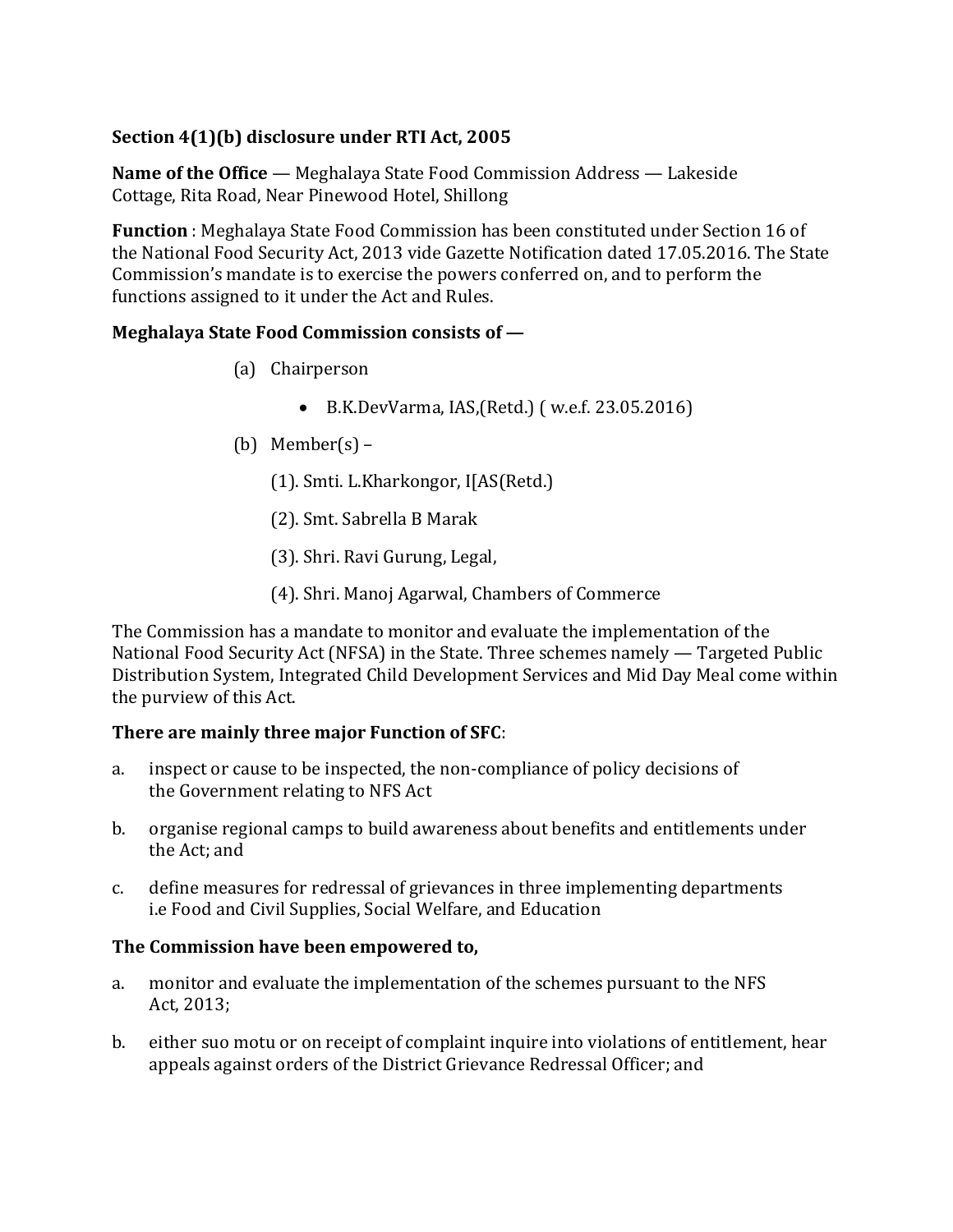# **Section 4(1)(b) disclosure under RTI Act, 2005**

**Name of the Office** — Meghalaya State Food Commission Address — Lakeside Cottage, Rita Road, Near Pinewood Hotel, Shillong

**Function** : Meghalaya State Food Commission has been constituted under Section 16 of the National Food Security Act, 2013 vide Gazette Notification dated 17.05.2016. The State Commission's mandate is to exercise the powers conferred on, and to perform the functions assigned to it under the Act and Rules.

# **Meghalaya State Food Commission consists of —**

- (a) Chairperson
	- B.K.DevVarma, IAS,(Retd.) ( w.e.f. 23.05.2016)
- (b) Member $(s)$ 
	- (1). Smti. L.Kharkongor, I[AS(Retd.)
	- (2). Smt. Sabrella B Marak
	- (3). Shri. Ravi Gurung, Legal,
	- (4). Shri. Manoj Agarwal, Chambers of Commerce

The Commission has a mandate to monitor and evaluate the implementation of the National Food Security Act (NFSA) in the State. Three schemes namely — Targeted Public Distribution System, Integrated Child Development Services and Mid Day Meal come within the purview of this Act.

# **There are mainly three major Function of SFC**:

- a. inspect or cause to be inspected, the non-compliance of policy decisions of the Government relating to NFS Act
- b. organise regional camps to build awareness about benefits and entitlements under the Act; and
- c. define measures for redressal of grievances in three implementing departments i.e Food and Civil Supplies, Social Welfare, and Education

# **The Commission have been empowered to,**

- a. monitor and evaluate the implementation of the schemes pursuant to the NFS Act, 2013;
- b. either suo motu or on receipt of complaint inquire into violations of entitlement, hear appeals against orders of the District Grievance Redressal Officer; and